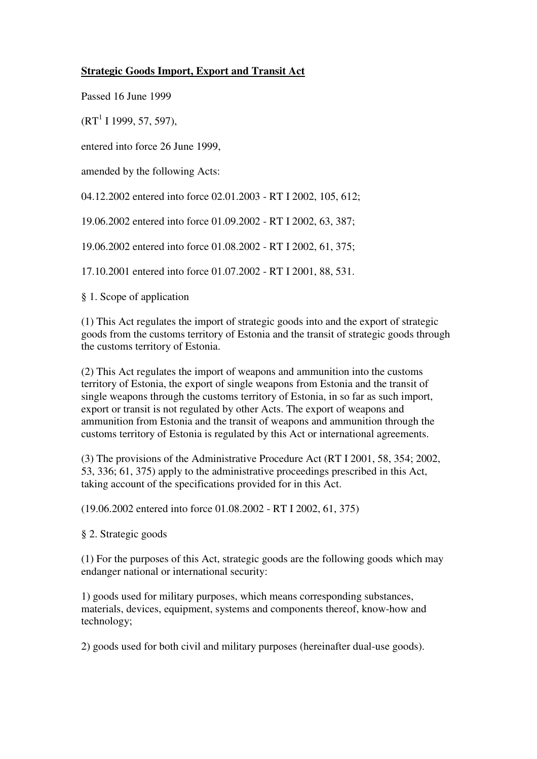## **Strategic Goods Import, Export and Transit Act**

Passed 16 June 1999

 $(RT<sup>1</sup> I 1999, 57, 597),$ 

entered into force 26 June 1999,

amended by the following Acts:

04.12.2002 entered into force 02.01.2003 - RT I 2002, 105, 612;

19.06.2002 entered into force 01.09.2002 - RT I 2002, 63, 387;

19.06.2002 entered into force 01.08.2002 - RT I 2002, 61, 375;

17.10.2001 entered into force 01.07.2002 - RT I 2001, 88, 531.

§ 1. Scope of application

(1) This Act regulates the import of strategic goods into and the export of strategic goods from the customs territory of Estonia and the transit of strategic goods through the customs territory of Estonia.

(2) This Act regulates the import of weapons and ammunition into the customs territory of Estonia, the export of single weapons from Estonia and the transit of single weapons through the customs territory of Estonia, in so far as such import, export or transit is not regulated by other Acts. The export of weapons and ammunition from Estonia and the transit of weapons and ammunition through the customs territory of Estonia is regulated by this Act or international agreements.

(3) The provisions of the Administrative Procedure Act (RT I 2001, 58, 354; 2002, 53, 336; 61, 375) apply to the administrative proceedings prescribed in this Act, taking account of the specifications provided for in this Act.

(19.06.2002 entered into force 01.08.2002 - RT I 2002, 61, 375)

§ 2. Strategic goods

(1) For the purposes of this Act, strategic goods are the following goods which may endanger national or international security:

1) goods used for military purposes, which means corresponding substances, materials, devices, equipment, systems and components thereof, know-how and technology;

2) goods used for both civil and military purposes (hereinafter dual-use goods).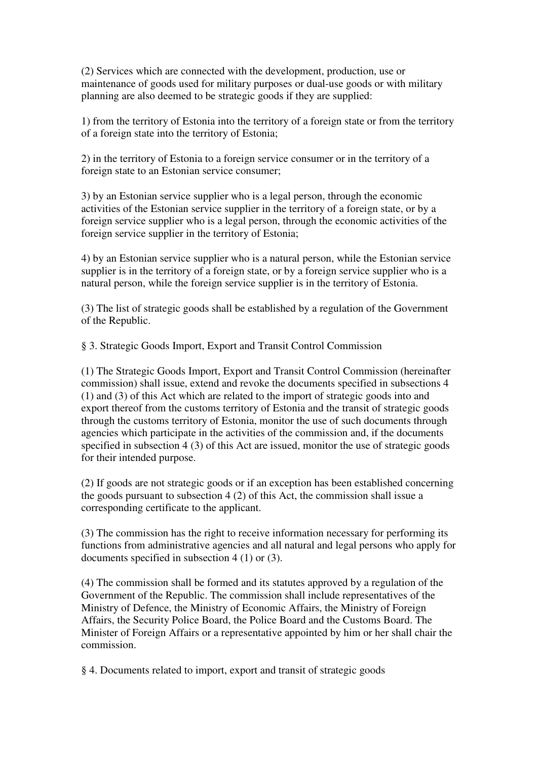(2) Services which are connected with the development, production, use or maintenance of goods used for military purposes or dual-use goods or with military planning are also deemed to be strategic goods if they are supplied:

1) from the territory of Estonia into the territory of a foreign state or from the territory of a foreign state into the territory of Estonia;

2) in the territory of Estonia to a foreign service consumer or in the territory of a foreign state to an Estonian service consumer;

3) by an Estonian service supplier who is a legal person, through the economic activities of the Estonian service supplier in the territory of a foreign state, or by a foreign service supplier who is a legal person, through the economic activities of the foreign service supplier in the territory of Estonia;

4) by an Estonian service supplier who is a natural person, while the Estonian service supplier is in the territory of a foreign state, or by a foreign service supplier who is a natural person, while the foreign service supplier is in the territory of Estonia.

(3) The list of strategic goods shall be established by a regulation of the Government of the Republic.

§ 3. Strategic Goods Import, Export and Transit Control Commission

(1) The Strategic Goods Import, Export and Transit Control Commission (hereinafter commission) shall issue, extend and revoke the documents specified in subsections 4 (1) and (3) of this Act which are related to the import of strategic goods into and export thereof from the customs territory of Estonia and the transit of strategic goods through the customs territory of Estonia, monitor the use of such documents through agencies which participate in the activities of the commission and, if the documents specified in subsection 4 (3) of this Act are issued, monitor the use of strategic goods for their intended purpose.

(2) If goods are not strategic goods or if an exception has been established concerning the goods pursuant to subsection 4 (2) of this Act, the commission shall issue a corresponding certificate to the applicant.

(3) The commission has the right to receive information necessary for performing its functions from administrative agencies and all natural and legal persons who apply for documents specified in subsection 4 (1) or (3).

(4) The commission shall be formed and its statutes approved by a regulation of the Government of the Republic. The commission shall include representatives of the Ministry of Defence, the Ministry of Economic Affairs, the Ministry of Foreign Affairs, the Security Police Board, the Police Board and the Customs Board. The Minister of Foreign Affairs or a representative appointed by him or her shall chair the commission.

§ 4. Documents related to import, export and transit of strategic goods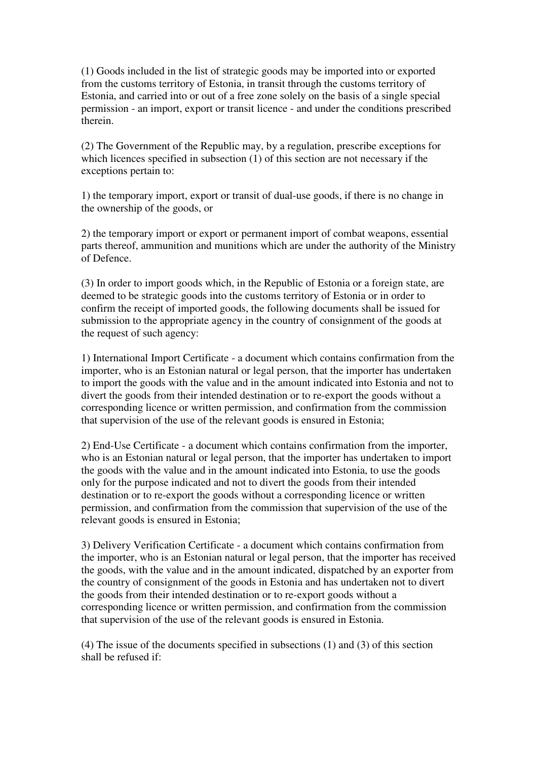(1) Goods included in the list of strategic goods may be imported into or exported from the customs territory of Estonia, in transit through the customs territory of Estonia, and carried into or out of a free zone solely on the basis of a single special permission - an import, export or transit licence - and under the conditions prescribed therein.

(2) The Government of the Republic may, by a regulation, prescribe exceptions for which licences specified in subsection (1) of this section are not necessary if the exceptions pertain to:

1) the temporary import, export or transit of dual-use goods, if there is no change in the ownership of the goods, or

2) the temporary import or export or permanent import of combat weapons, essential parts thereof, ammunition and munitions which are under the authority of the Ministry of Defence.

(3) In order to import goods which, in the Republic of Estonia or a foreign state, are deemed to be strategic goods into the customs territory of Estonia or in order to confirm the receipt of imported goods, the following documents shall be issued for submission to the appropriate agency in the country of consignment of the goods at the request of such agency:

1) International Import Certificate - a document which contains confirmation from the importer, who is an Estonian natural or legal person, that the importer has undertaken to import the goods with the value and in the amount indicated into Estonia and not to divert the goods from their intended destination or to re-export the goods without a corresponding licence or written permission, and confirmation from the commission that supervision of the use of the relevant goods is ensured in Estonia;

2) End-Use Certificate - a document which contains confirmation from the importer, who is an Estonian natural or legal person, that the importer has undertaken to import the goods with the value and in the amount indicated into Estonia, to use the goods only for the purpose indicated and not to divert the goods from their intended destination or to re-export the goods without a corresponding licence or written permission, and confirmation from the commission that supervision of the use of the relevant goods is ensured in Estonia;

3) Delivery Verification Certificate - a document which contains confirmation from the importer, who is an Estonian natural or legal person, that the importer has received the goods, with the value and in the amount indicated, dispatched by an exporter from the country of consignment of the goods in Estonia and has undertaken not to divert the goods from their intended destination or to re-export goods without a corresponding licence or written permission, and confirmation from the commission that supervision of the use of the relevant goods is ensured in Estonia.

(4) The issue of the documents specified in subsections (1) and (3) of this section shall be refused if: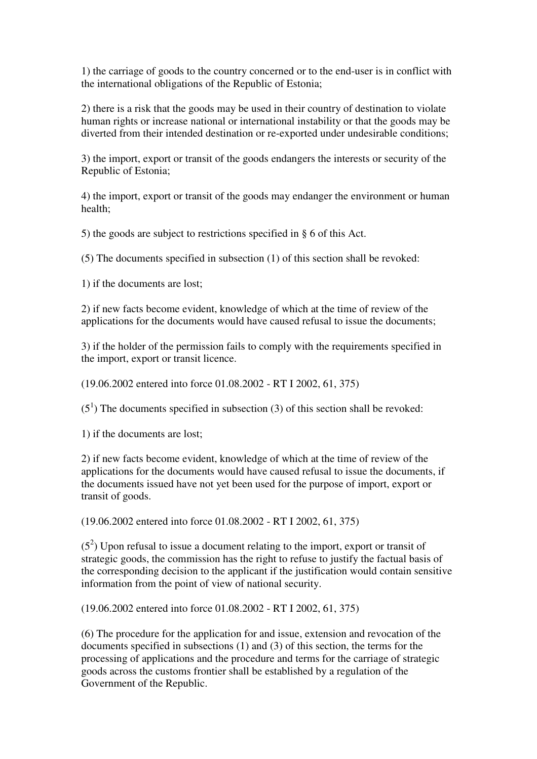1) the carriage of goods to the country concerned or to the end-user is in conflict with the international obligations of the Republic of Estonia;

2) there is a risk that the goods may be used in their country of destination to violate human rights or increase national or international instability or that the goods may be diverted from their intended destination or re-exported under undesirable conditions;

3) the import, export or transit of the goods endangers the interests or security of the Republic of Estonia;

4) the import, export or transit of the goods may endanger the environment or human health;

5) the goods are subject to restrictions specified in § 6 of this Act.

(5) The documents specified in subsection (1) of this section shall be revoked:

1) if the documents are lost;

2) if new facts become evident, knowledge of which at the time of review of the applications for the documents would have caused refusal to issue the documents;

3) if the holder of the permission fails to comply with the requirements specified in the import, export or transit licence.

(19.06.2002 entered into force 01.08.2002 - RT I 2002, 61, 375)

 $(5<sup>1</sup>)$  The documents specified in subsection (3) of this section shall be revoked:

1) if the documents are lost;

2) if new facts become evident, knowledge of which at the time of review of the applications for the documents would have caused refusal to issue the documents, if the documents issued have not yet been used for the purpose of import, export or transit of goods.

(19.06.2002 entered into force 01.08.2002 - RT I 2002, 61, 375)

 $(5^2)$  Upon refusal to issue a document relating to the import, export or transit of strategic goods, the commission has the right to refuse to justify the factual basis of the corresponding decision to the applicant if the justification would contain sensitive information from the point of view of national security.

(19.06.2002 entered into force 01.08.2002 - RT I 2002, 61, 375)

(6) The procedure for the application for and issue, extension and revocation of the documents specified in subsections (1) and (3) of this section, the terms for the processing of applications and the procedure and terms for the carriage of strategic goods across the customs frontier shall be established by a regulation of the Government of the Republic.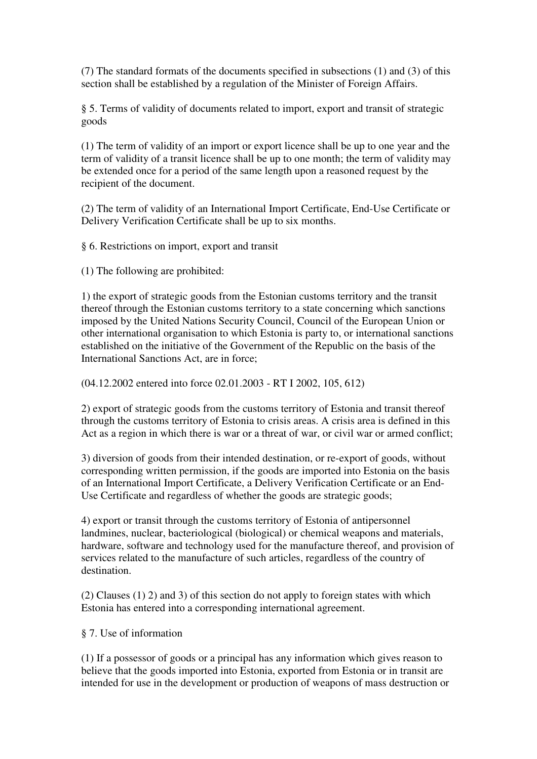(7) The standard formats of the documents specified in subsections (1) and (3) of this section shall be established by a regulation of the Minister of Foreign Affairs.

§ 5. Terms of validity of documents related to import, export and transit of strategic goods

(1) The term of validity of an import or export licence shall be up to one year and the term of validity of a transit licence shall be up to one month; the term of validity may be extended once for a period of the same length upon a reasoned request by the recipient of the document.

(2) The term of validity of an International Import Certificate, End-Use Certificate or Delivery Verification Certificate shall be up to six months.

§ 6. Restrictions on import, export and transit

(1) The following are prohibited:

1) the export of strategic goods from the Estonian customs territory and the transit thereof through the Estonian customs territory to a state concerning which sanctions imposed by the United Nations Security Council, Council of the European Union or other international organisation to which Estonia is party to, or international sanctions established on the initiative of the Government of the Republic on the basis of the International Sanctions Act, are in force;

(04.12.2002 entered into force 02.01.2003 - RT I 2002, 105, 612)

2) export of strategic goods from the customs territory of Estonia and transit thereof through the customs territory of Estonia to crisis areas. A crisis area is defined in this Act as a region in which there is war or a threat of war, or civil war or armed conflict;

3) diversion of goods from their intended destination, or re-export of goods, without corresponding written permission, if the goods are imported into Estonia on the basis of an International Import Certificate, a Delivery Verification Certificate or an End-Use Certificate and regardless of whether the goods are strategic goods;

4) export or transit through the customs territory of Estonia of antipersonnel landmines, nuclear, bacteriological (biological) or chemical weapons and materials, hardware, software and technology used for the manufacture thereof, and provision of services related to the manufacture of such articles, regardless of the country of destination.

(2) Clauses (1) 2) and 3) of this section do not apply to foreign states with which Estonia has entered into a corresponding international agreement.

§ 7. Use of information

(1) If a possessor of goods or a principal has any information which gives reason to believe that the goods imported into Estonia, exported from Estonia or in transit are intended for use in the development or production of weapons of mass destruction or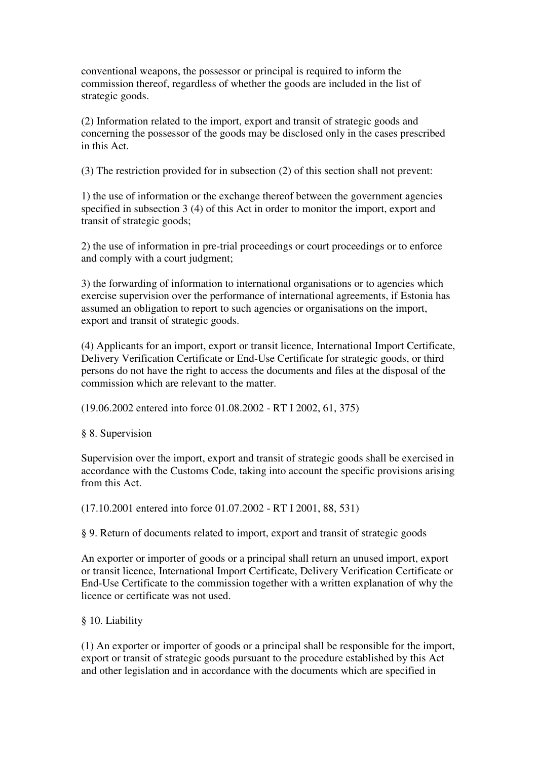conventional weapons, the possessor or principal is required to inform the commission thereof, regardless of whether the goods are included in the list of strategic goods.

(2) Information related to the import, export and transit of strategic goods and concerning the possessor of the goods may be disclosed only in the cases prescribed in this Act.

(3) The restriction provided for in subsection (2) of this section shall not prevent:

1) the use of information or the exchange thereof between the government agencies specified in subsection 3 (4) of this Act in order to monitor the import, export and transit of strategic goods;

2) the use of information in pre-trial proceedings or court proceedings or to enforce and comply with a court judgment;

3) the forwarding of information to international organisations or to agencies which exercise supervision over the performance of international agreements, if Estonia has assumed an obligation to report to such agencies or organisations on the import, export and transit of strategic goods.

(4) Applicants for an import, export or transit licence, International Import Certificate, Delivery Verification Certificate or End-Use Certificate for strategic goods, or third persons do not have the right to access the documents and files at the disposal of the commission which are relevant to the matter.

(19.06.2002 entered into force 01.08.2002 - RT I 2002, 61, 375)

§ 8. Supervision

Supervision over the import, export and transit of strategic goods shall be exercised in accordance with the Customs Code, taking into account the specific provisions arising from this Act.

(17.10.2001 entered into force 01.07.2002 - RT I 2001, 88, 531)

§ 9. Return of documents related to import, export and transit of strategic goods

An exporter or importer of goods or a principal shall return an unused import, export or transit licence, International Import Certificate, Delivery Verification Certificate or End-Use Certificate to the commission together with a written explanation of why the licence or certificate was not used.

§ 10. Liability

(1) An exporter or importer of goods or a principal shall be responsible for the import, export or transit of strategic goods pursuant to the procedure established by this Act and other legislation and in accordance with the documents which are specified in